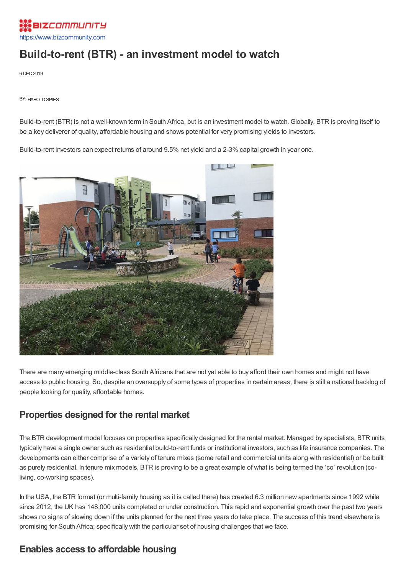

# **Build-to-rent (BTR) - an investment model to watch**

6 DEC2019

**BY: HAROLD SPIES** 

Build-to-rent (BTR) is not a well-known term in South Africa, but is an investment model to watch. Globally, BTR is proving itself to be a key deliverer of quality, affordable housing and shows potential for very promising yields to investors.

Build-to-rent investors can expect returns of around 9.5% net yield and a 2-3% capital growth in year one.



There are many emerging middle-class South Africans that are not yet able to buy afford their own homes and might not have access to public housing. So, despite an oversupply of some types of properties in certain areas, there is still a national backlog of people looking for quality, affordable homes.

### **Properties designed for the rental market**

The BTR development model focuses on properties specifically designed for the rental market. Managed by specialists, BTR units typically have a single owner such as residential build-to-rent funds or institutional investors, such as life insurance companies. The developments can either comprise of a variety of tenure mixes (some retail and commercial units along with residential) or be built as purely residential. In tenure mix models, BTR is proving to be a great example of what is being termed the 'co' revolution (coliving, co-working spaces).

In the USA, the BTR format (or multi-family housing as it is called there) has created 6.3 million new apartments since 1992 while since 2012, the UK has 148,000 units completed or under construction. This rapid and exponential growth over the past two years shows no signs of slowing down if the units planned for the next three years do take place. The success of this trend elsewhere is promising for South Africa; specifically with the particular set of housing challenges that we face.

### **Enables access to affordable housing**